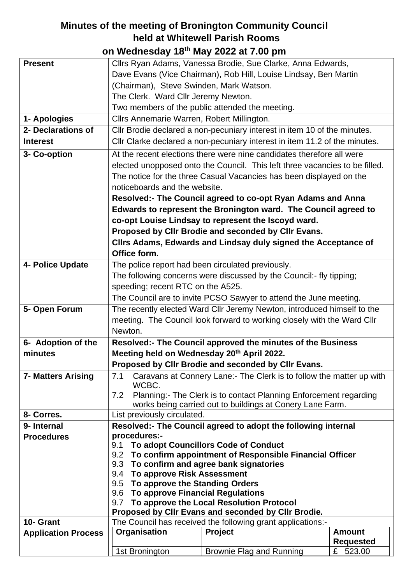## **Minutes of the meeting of Bronington Community Council held at Whitewell Parish Rooms on Wednesday 18th May 2022 at 7.00 pm**

|                            | UIT MUUTUUGUU TURKA LULLUU TIU PIIT                                                                                |                                                                             |                  |
|----------------------------|--------------------------------------------------------------------------------------------------------------------|-----------------------------------------------------------------------------|------------------|
| <b>Present</b>             |                                                                                                                    | Cllrs Ryan Adams, Vanessa Brodie, Sue Clarke, Anna Edwards,                 |                  |
|                            |                                                                                                                    | Dave Evans (Vice Chairman), Rob Hill, Louise Lindsay, Ben Martin            |                  |
|                            | (Chairman), Steve Swinden, Mark Watson.                                                                            |                                                                             |                  |
|                            | The Clerk. Ward Cllr Jeremy Newton.                                                                                |                                                                             |                  |
|                            |                                                                                                                    | Two members of the public attended the meeting.                             |                  |
| 1- Apologies               | Cllrs Annemarie Warren, Robert Millington.                                                                         |                                                                             |                  |
| 2- Declarations of         |                                                                                                                    | Cllr Brodie declared a non-pecuniary interest in item 10 of the minutes.    |                  |
| <b>Interest</b>            |                                                                                                                    | Cllr Clarke declared a non-pecuniary interest in item 11.2 of the minutes.  |                  |
| 3- Co-option               |                                                                                                                    | At the recent elections there were nine candidates therefore all were       |                  |
|                            |                                                                                                                    | elected unopposed onto the Council. This left three vacancies to be filled. |                  |
|                            |                                                                                                                    | The notice for the three Casual Vacancies has been displayed on the         |                  |
|                            | noticeboards and the website.                                                                                      |                                                                             |                  |
|                            |                                                                                                                    | Resolved:- The Council agreed to co-opt Ryan Adams and Anna                 |                  |
|                            |                                                                                                                    | Edwards to represent the Bronington ward. The Council agreed to             |                  |
|                            |                                                                                                                    | co-opt Louise Lindsay to represent the Iscoyd ward.                         |                  |
|                            |                                                                                                                    | Proposed by CIIr Brodie and seconded by CIIr Evans.                         |                  |
|                            |                                                                                                                    | Clirs Adams, Edwards and Lindsay duly signed the Acceptance of              |                  |
|                            | Office form.                                                                                                       |                                                                             |                  |
| 4- Police Update           |                                                                                                                    | The police report had been circulated previously.                           |                  |
|                            |                                                                                                                    | The following concerns were discussed by the Council:- fly tipping;         |                  |
|                            | speeding; recent RTC on the A525.                                                                                  |                                                                             |                  |
|                            |                                                                                                                    | The Council are to invite PCSO Sawyer to attend the June meeting.           |                  |
| 5- Open Forum              |                                                                                                                    | The recently elected Ward Cllr Jeremy Newton, introduced himself to the     |                  |
|                            |                                                                                                                    | meeting. The Council look forward to working closely with the Ward Cllr     |                  |
|                            | Newton.                                                                                                            |                                                                             |                  |
| 6- Adoption of the         |                                                                                                                    | Resolved:- The Council approved the minutes of the Business                 |                  |
| minutes                    | Meeting held on Wednesday 20th April 2022.                                                                         |                                                                             |                  |
|                            |                                                                                                                    | Proposed by CIIr Brodie and seconded by CIIr Evans.                         |                  |
| <b>7- Matters Arising</b>  | 7.1                                                                                                                | Caravans at Connery Lane:- The Clerk is to follow the matter up with        |                  |
|                            | WCBC.                                                                                                              |                                                                             |                  |
|                            | 7.2                                                                                                                | Planning: - The Clerk is to contact Planning Enforcement regarding          |                  |
| 8- Corres.                 |                                                                                                                    | works being carried out to buildings at Conery Lane Farm.                   |                  |
| 9- Internal                | List previously circulated.                                                                                        |                                                                             |                  |
| <b>Procedures</b>          | procedures:-                                                                                                       | Resolved:- The Council agreed to adopt the following internal               |                  |
|                            | 9.1                                                                                                                | To adopt Councillors Code of Conduct                                        |                  |
|                            | 9.2                                                                                                                | To confirm appointment of Responsible Financial Officer                     |                  |
|                            | 9.3                                                                                                                | To confirm and agree bank signatories                                       |                  |
|                            | To approve Risk Assessment<br>9.4                                                                                  |                                                                             |                  |
|                            | To approve the Standing Orders<br>9.5                                                                              |                                                                             |                  |
|                            | <b>To approve Financial Regulations</b><br>9.6                                                                     |                                                                             |                  |
|                            | 9.7                                                                                                                | To approve the Local Resolution Protocol                                    |                  |
| 10- Grant                  | Proposed by Cllr Evans and seconded by Cllr Brodie.<br>The Council has received the following grant applications:- |                                                                             |                  |
| <b>Application Process</b> | Organisation                                                                                                       | Project                                                                     | <b>Amount</b>    |
|                            |                                                                                                                    |                                                                             |                  |
|                            |                                                                                                                    |                                                                             | <b>Requested</b> |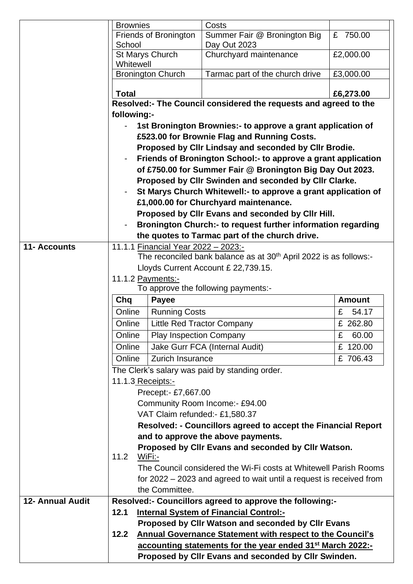|                         | <b>Brownies</b>                                                                                                                                                                                                                                                                                                                                        |                                             | Costs                                                                         |               |  |
|-------------------------|--------------------------------------------------------------------------------------------------------------------------------------------------------------------------------------------------------------------------------------------------------------------------------------------------------------------------------------------------------|---------------------------------------------|-------------------------------------------------------------------------------|---------------|--|
|                         | School                                                                                                                                                                                                                                                                                                                                                 | Friends of Bronington                       | Summer Fair @ Bronington Big<br>Day Out 2023                                  | £ 750.00      |  |
|                         | Whitewell                                                                                                                                                                                                                                                                                                                                              | St Marys Church                             | Churchyard maintenance                                                        | £2,000.00     |  |
|                         |                                                                                                                                                                                                                                                                                                                                                        | <b>Bronington Church</b>                    | Tarmac part of the church drive                                               | £3,000.00     |  |
|                         | <b>Total</b>                                                                                                                                                                                                                                                                                                                                           |                                             |                                                                               | £6,273.00     |  |
|                         |                                                                                                                                                                                                                                                                                                                                                        |                                             | Resolved:- The Council considered the requests and agreed to the              |               |  |
|                         | following:-                                                                                                                                                                                                                                                                                                                                            |                                             |                                                                               |               |  |
|                         | 1st Bronington Brownies:- to approve a grant application of                                                                                                                                                                                                                                                                                            |                                             |                                                                               |               |  |
|                         |                                                                                                                                                                                                                                                                                                                                                        | £523.00 for Brownie Flag and Running Costs. |                                                                               |               |  |
|                         | Proposed by Cllr Lindsay and seconded by Cllr Brodie.<br>Friends of Bronington School:- to approve a grant application<br>of £750.00 for Summer Fair @ Bronington Big Day Out 2023.<br>Proposed by CIIr Swinden and seconded by CIIr Clarke.<br>St Marys Church Whitewell:- to approve a grant application of<br>£1,000.00 for Churchyard maintenance. |                                             |                                                                               |               |  |
|                         |                                                                                                                                                                                                                                                                                                                                                        |                                             |                                                                               |               |  |
|                         |                                                                                                                                                                                                                                                                                                                                                        |                                             |                                                                               |               |  |
|                         |                                                                                                                                                                                                                                                                                                                                                        |                                             |                                                                               |               |  |
|                         |                                                                                                                                                                                                                                                                                                                                                        |                                             |                                                                               |               |  |
|                         |                                                                                                                                                                                                                                                                                                                                                        |                                             |                                                                               |               |  |
|                         |                                                                                                                                                                                                                                                                                                                                                        |                                             | Proposed by Cllr Evans and seconded by Cllr Hill.                             |               |  |
|                         |                                                                                                                                                                                                                                                                                                                                                        |                                             | Bronington Church:- to request further information regarding                  |               |  |
| <b>11- Accounts</b>     |                                                                                                                                                                                                                                                                                                                                                        |                                             | the quotes to Tarmac part of the church drive.                                |               |  |
|                         |                                                                                                                                                                                                                                                                                                                                                        | 11.1.1 Financial Year 2022 - 2023:-         | The reconciled bank balance as at 30 <sup>th</sup> April 2022 is as follows:- |               |  |
|                         |                                                                                                                                                                                                                                                                                                                                                        |                                             | Lloyds Current Account £ 22,739.15.                                           |               |  |
|                         |                                                                                                                                                                                                                                                                                                                                                        | 11.1.2 Payments:-                           |                                                                               |               |  |
|                         |                                                                                                                                                                                                                                                                                                                                                        | To approve the following payments:-         |                                                                               |               |  |
|                         | Chq                                                                                                                                                                                                                                                                                                                                                    | <b>Payee</b>                                |                                                                               | <b>Amount</b> |  |
|                         | Online                                                                                                                                                                                                                                                                                                                                                 | <b>Running Costs</b>                        |                                                                               | £<br>54.17    |  |
|                         | Online                                                                                                                                                                                                                                                                                                                                                 |                                             | <b>Little Red Tractor Company</b>                                             | £ 262.80      |  |
|                         | Online                                                                                                                                                                                                                                                                                                                                                 | <b>Play Inspection Company</b>              |                                                                               | £<br>60.00    |  |
|                         | Online                                                                                                                                                                                                                                                                                                                                                 |                                             | Jake Gurr FCA (Internal Audit)                                                | £ 120.00      |  |
|                         | Online                                                                                                                                                                                                                                                                                                                                                 | Zurich Insurance                            |                                                                               | £706.43       |  |
|                         | The Clerk's salary was paid by standing order.                                                                                                                                                                                                                                                                                                         |                                             |                                                                               |               |  |
|                         | 11.1.3 Receipts:-                                                                                                                                                                                                                                                                                                                                      |                                             |                                                                               |               |  |
|                         | Precept:- £7,667.00                                                                                                                                                                                                                                                                                                                                    |                                             |                                                                               |               |  |
|                         |                                                                                                                                                                                                                                                                                                                                                        |                                             | Community Room Income:- £94.00                                                |               |  |
|                         |                                                                                                                                                                                                                                                                                                                                                        |                                             | VAT Claim refunded:- £1,580.37                                                |               |  |
|                         |                                                                                                                                                                                                                                                                                                                                                        |                                             | Resolved: - Councillors agreed to accept the Financial Report                 |               |  |
|                         |                                                                                                                                                                                                                                                                                                                                                        |                                             | and to approve the above payments.                                            |               |  |
|                         | 11.2                                                                                                                                                                                                                                                                                                                                                   | WiFi:-                                      | Proposed by CIIr Evans and seconded by CIIr Watson.                           |               |  |
|                         |                                                                                                                                                                                                                                                                                                                                                        |                                             | The Council considered the Wi-Fi costs at Whitewell Parish Rooms              |               |  |
|                         |                                                                                                                                                                                                                                                                                                                                                        |                                             | for 2022 – 2023 and agreed to wait until a request is received from           |               |  |
|                         |                                                                                                                                                                                                                                                                                                                                                        | the Committee.                              |                                                                               |               |  |
| <b>12- Annual Audit</b> |                                                                                                                                                                                                                                                                                                                                                        |                                             | Resolved:- Councillors agreed to approve the following:-                      |               |  |
|                         | 12.1                                                                                                                                                                                                                                                                                                                                                   |                                             | <b>Internal System of Financial Control:-</b>                                 |               |  |
|                         |                                                                                                                                                                                                                                                                                                                                                        |                                             | Proposed by Cllr Watson and seconded by Cllr Evans                            |               |  |
|                         | 12.2                                                                                                                                                                                                                                                                                                                                                   |                                             | <b>Annual Governance Statement with respect to the Council's</b>              |               |  |
|                         |                                                                                                                                                                                                                                                                                                                                                        |                                             | accounting statements for the year ended 31 <sup>st</sup> March 2022:-        |               |  |
|                         |                                                                                                                                                                                                                                                                                                                                                        |                                             | Proposed by CIIr Evans and seconded by CIIr Swinden.                          |               |  |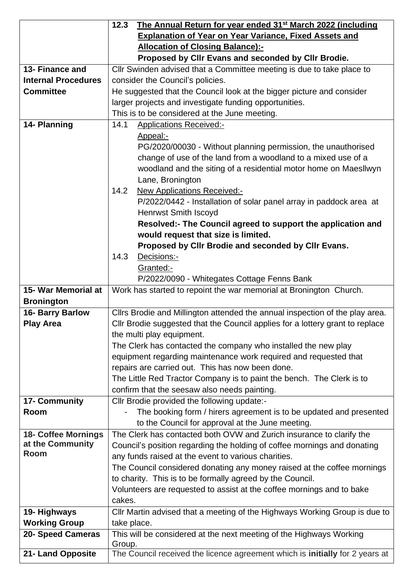|                            | The Annual Return for year ended 31 <sup>st</sup> March 2022 (including<br>12.3 |  |
|----------------------------|---------------------------------------------------------------------------------|--|
|                            | <b>Explanation of Year on Year Variance, Fixed Assets and</b>                   |  |
|                            | <b>Allocation of Closing Balance):-</b>                                         |  |
|                            | Proposed by Cllr Evans and seconded by Cllr Brodie.                             |  |
| 13- Finance and            | CIIr Swinden advised that a Committee meeting is due to take place to           |  |
| <b>Internal Procedures</b> | consider the Council's policies.                                                |  |
| <b>Committee</b>           | He suggested that the Council look at the bigger picture and consider           |  |
|                            | larger projects and investigate funding opportunities.                          |  |
|                            | This is to be considered at the June meeting.                                   |  |
| 14- Planning               | 14.1<br><b>Applications Received:-</b>                                          |  |
|                            | Appeal:-                                                                        |  |
|                            | PG/2020/00030 - Without planning permission, the unauthorised                   |  |
|                            | change of use of the land from a woodland to a mixed use of a                   |  |
|                            | woodland and the siting of a residential motor home on Maesllwyn                |  |
|                            | Lane, Bronington                                                                |  |
|                            | 14.2<br><b>New Applications Received:-</b>                                      |  |
|                            | P/2022/0442 - Installation of solar panel array in paddock area at              |  |
|                            | <b>Henrwst Smith Iscoyd</b>                                                     |  |
|                            | Resolved:- The Council agreed to support the application and                    |  |
|                            | would request that size is limited.                                             |  |
|                            | Proposed by Cllr Brodie and seconded by Cllr Evans.                             |  |
|                            | 14.3<br>Decisions:-                                                             |  |
|                            | Granted:-                                                                       |  |
|                            | P/2022/0090 - Whitegates Cottage Fenns Bank                                     |  |
| 15- War Memorial at        | Work has started to repoint the war memorial at Bronington Church.              |  |
| <b>Bronington</b>          |                                                                                 |  |
| 16- Barry Barlow           | Cllrs Brodie and Millington attended the annual inspection of the play area.    |  |
| <b>Play Area</b>           | CIIr Brodie suggested that the Council applies for a lottery grant to replace   |  |
|                            | the multi play equipment.                                                       |  |
|                            | The Clerk has contacted the company who installed the new play                  |  |
|                            | equipment regarding maintenance work required and requested that                |  |
|                            | repairs are carried out. This has now been done.                                |  |
|                            | The Little Red Tractor Company is to paint the bench. The Clerk is to           |  |
|                            | confirm that the seesaw also needs painting.                                    |  |
| 17- Community              | Cllr Brodie provided the following update:-                                     |  |
| Room                       | The booking form / hirers agreement is to be updated and presented              |  |
|                            | to the Council for approval at the June meeting.                                |  |
| 18- Coffee Mornings        | The Clerk has contacted both OVW and Zurich insurance to clarify the            |  |
| at the Community           | Council's position regarding the holding of coffee mornings and donating        |  |
| <b>Room</b>                | any funds raised at the event to various charities.                             |  |
|                            | The Council considered donating any money raised at the coffee mornings         |  |
|                            | to charity. This is to be formally agreed by the Council.                       |  |
|                            | Volunteers are requested to assist at the coffee mornings and to bake           |  |
|                            | cakes.                                                                          |  |
| 19- Highways               | CIIr Martin advised that a meeting of the Highways Working Group is due to      |  |
| <b>Working Group</b>       | take place.                                                                     |  |
| 20- Speed Cameras          | This will be considered at the next meeting of the Highways Working             |  |
|                            | Group.                                                                          |  |
| 21- Land Opposite          | The Council received the licence agreement which is initially for 2 years at    |  |